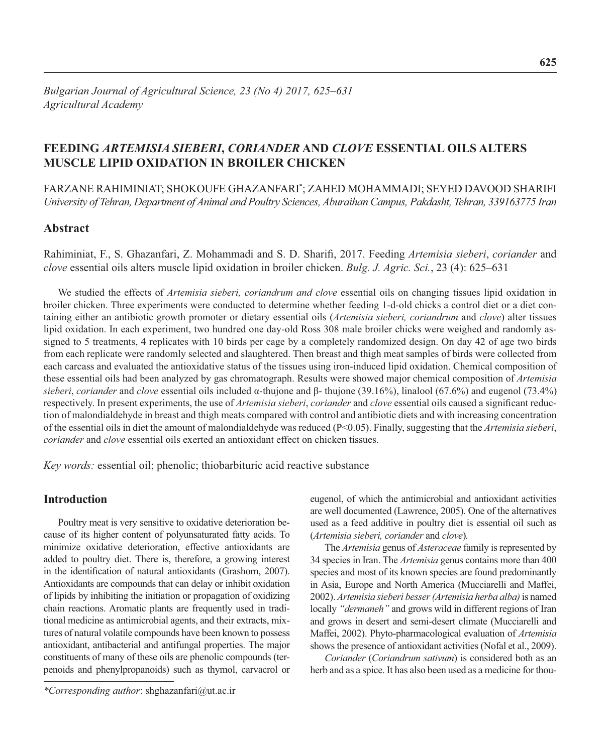# **FEEDING** *ARTEMISIA SIEBERI***,** *CORIANDER* **AND** *CLOVE* **ESSENTIAL OILS ALTERS MUSCLE LIPID OXIDATION IN BROILER CHICKEN**

FARZANE RAHIMINIAT; SHOKOUFE GHAZANFARI\* ; ZAHED MOHAMMADI; SEYED DAVOOD SHARIFI *University of Tehran, Department of Animal and Poultry Sciences, Aburaihan Campus, Pakdasht, Tehran, 339163775 Iran*

## **Abstract**

Rahiminiat, F., S. Ghazanfari, Z. Mohammadi and S. D. Sharifi, 2017. Feeding Artemisia sieberi, *coriander* and *clove* essential oils alters muscle lipid oxidation in broiler chicken. *Bulg. J. Agric. Sci.*, 23 (4): 625–631

 We studied the effects of *Artemisia sieberi, coriandrum and clove* essential oils on changing tissues lipid oxidation in broiler chicken. Three experiments were conducted to determine whether feeding 1-d-old chicks a control diet or a diet containing either an antibiotic growth promoter or dietary essential oils (*Artemisia sieberi, coriandrum* and *clove*) alter tissues lipid oxidation. In each experiment, two hundred one day-old Ross 308 male broiler chicks were weighed and randomly assigned to 5 treatments, 4 replicates with 10 birds per cage by a completely randomized design. On day 42 of age two birds from each replicate were randomly selected and slaughtered. Then breast and thigh meat samples of birds were collected from each carcass and evaluated the antioxidative status of the tissues using iron-induced lipid oxidation. Chemical composition of these essential oils had been analyzed by gas chromatograph. Results were showed major chemical composition of *Artemisia sieberi*, *coriander* and *clove* essential oils included α-thujone and β- thujone (39.16%), linalool (67.6%) and eugenol (73.4%) respectively. In present experiments, the use of *Artemisia sieberi, coriander* and *clove* essential oils caused a significant reduction of malondialdehyde in breast and thigh meats compared with control and antibiotic diets and with increasing concentration of the essential oils in diet the amount of malondialdehyde was reduced (P<0.05). Finally, suggesting that the *Artemisia sieberi*, *coriander* and *clove* essential oils exerted an antioxidant effect on chicken tissues.

*Key words:* essential oil; phenolic; thiobarbituric acid reactive substance

## **Introduction**

Poultry meat is very sensitive to oxidative deterioration because of its higher content of polyunsaturated fatty acids. To minimize oxidative deterioration, effective antioxidants are added to poultry diet. There is, therefore, a growing interest in the identification of natural antioxidants (Grashorn, 2007). Antioxidants are compounds that can delay or inhibit oxidation of lipids by inhibiting the initiation or propagation of oxidizing chain reactions. Aromatic plants are frequently used in traditional medicine as antimicrobial agents, and their extracts, mixtures of natural volatile compounds have been known to possess antioxidant, antibacterial and antifungal properties. The major constituents of many of these oils are phenolic compounds (terpenoids and phenylpropanoids) such as thymol, carvacrol or eugenol, of which the antimicrobial and antioxidant activities are well documented (Lawrence, 2005). One of the alternatives used as a feed additive in poultry diet is essential oil such as (*Artemisia sieberi, coriander* and *clove*)*.*

The *Artemisia* genus of *Asteraceae* family is represented by 34 species in Iran. The *Artemisia* genus contains more than 400 species and most of its known species are found predominantly in Asia, Europe and North America (Mucciarelli and Maffei, 2002). *Artemisia sieberi besser (Artemisia herba alba)* is named locally *"dermaneh"* and grows wild in different regions of Iran and grows in desert and semi-desert climate (Mucciarelli and Maffei, 2002). Phyto-pharmacological evaluation of *Artemisia* shows the presence of antioxidant activities (Nofal et al., 2009).

*Coriander* (*Coriandrum sativum*) is considered both as an herb and as a spice. It has also been used as a medicine for thou-

*<sup>\*</sup>Corresponding author*: shghazanfari@ut.ac.ir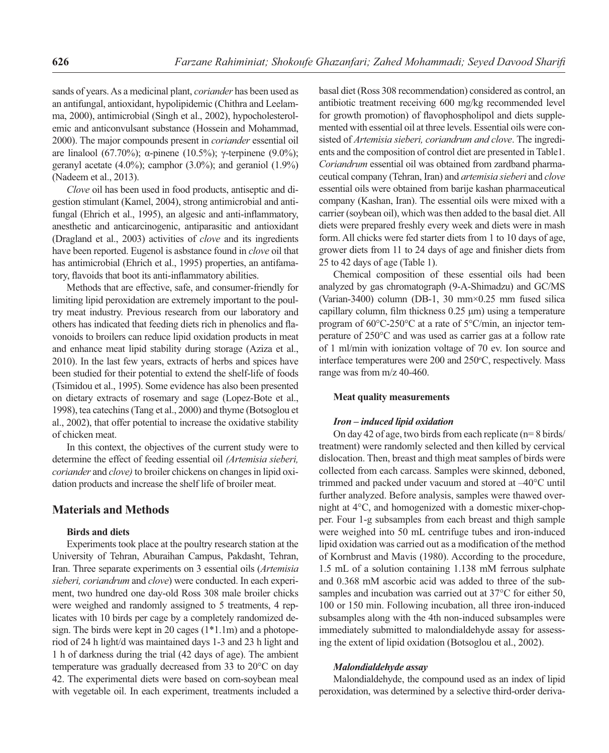sands of years. As a medicinal plant, *coriander* has been used as an antifungal, antioxidant, hypolipidemic (Chithra and Leelamma, 2000), antimicrobial (Singh et al., 2002), hypocholesterolemic and anticonvulsant substance (Hossein and Mohammad, 2000). The major compounds present in *coriander* essential oil are linalool (67.70%); α-pinene (10.5%); γ-terpinene (9.0%); geranyl acetate  $(4.0\%)$ ; camphor  $(3.0\%)$ ; and geraniol  $(1.9\%)$ (Nadeem et al., 2013).

*Clove* oil has been used in food products, antiseptic and digestion stimulant (Kamel, 2004), strong antimicrobial and antifungal (Ehrich et al., 1995), an algesic and anti-inflammatory, anesthetic and anticarcinogenic, antiparasitic and antioxidant (Dragland et al., 2003) activities of *clove* and its ingredients have been reported. Eugenol is asbstance found in *clove* oil that has antimicrobial (Ehrich et al., 1995) properties, an antifamatory, flavoids that boot its anti-inflammatory abilities.

Methods that are effective, safe, and consumer-friendly for limiting lipid peroxidation are extremely important to the poultry meat industry. Previous research from our laboratory and others has indicated that feeding diets rich in phenolics and flavonoids to broilers can reduce lipid oxidation products in meat and enhance meat lipid stability during storage (Aziza et al., 2010). In the last few years, extracts of herbs and spices have been studied for their potential to extend the shelf-life of foods (Tsimidou et al., 1995). Some evidence has also been presented on dietary extracts of rosemary and sage (Lopez-Bote et al., 1998), tea catechins (Tang et al., 2000) and thyme (Botsoglou et al., 2002), that offer potential to increase the oxidative stability of chicken meat.

In this context, the objectives of the current study were to determine the effect of feeding essential oil *(Artemisia sieberi, coriander* and *clove)* to broiler chickens on changes in lipid oxidation products and increase the shelf life of broiler meat.

## **Materials and Methods**

### **Bir ds and diets**

Experiments took place at the poultry research station at the University of Tehran, Aburaihan Campus, Pakdasht, Tehran, Iran. Three separate experiments on 3 essential oils (*Artemisia sieberi, coriandrum* and *clove*) were conducted. In each experiment, two hundred one day-old Ross 308 male broiler chicks were weighed and randomly assigned to 5 treatments, 4 replicates with 10 birds per cage by a completely randomized design. The birds were kept in 20 cages (1\*1.1m) and a photoperiod of 24 h light/d was maintained days 1-3 and 23 h light and 1 h of darkness during the trial (42 days of age). The ambient temperature was gradually decreased from 33 to 20°C on day 42. The experimental diets were based on corn-soybean meal with vegetable oil. In each experiment, treatments included a basal diet (Ross 308 recommendation) considered as control, an antibiotic treatment receiving 600 mg/kg recommended level for growth promotion) of flavophospholipol and diets supplemented with essential oil at three levels. Essential oils were consisted of *Artemisia sieberi, coriandrum and clove*. The ingredients and the composition of control diet are presented in Table1. *Coriandrum* essential oil was obtained from zardband pharmaceutical company (Tehran, Iran) and *artemisia sieberi* and *clove* essential oils were obtained from barije kashan pharmaceutical company (Kashan, Iran). The essential oils were mixed with a carrier (soybean oil), which was then added to the basal diet. All diets were prepared freshly every week and diets were in mash form. All chicks were fed starter diets from 1 to 10 days of age, grower diets from 11 to 24 days of age and finisher diets from 25 to 42 days of age (Table 1).

Chemical composition of these essential oils had been analyzed by gas chromatograph (9-A-Shimadzu) and GC/MS (Varian-3400) column (DB-1, 30 mm×0.25 mm fused silica capillary column, film thickness  $0.25 \mu m$ ) using a temperature program of 60°C-250°C at a rate of 5°C/min, an injector temperature of 250°C and was used as carrier gas at a follow rate of 1 ml/min with ionization voltage of 70 ev. Ion source and interface temperatures were 200 and 250°C, respectively. Mass range was from m/z 40-460.

#### **Meat quality measurements**

#### *Iron – induced lipid oxidation*

On day 42 of age, two birds from each replicate (n= 8 birds/ treatment) were randomly selected and then killed by cervical dislocation. Then, breast and thigh meat samples of birds were collected from each carcass. Samples were skinned, deboned, trimmed and packed under vacuum and stored at –40°C until further analyzed. Before analysis, samples were thawed overnight at 4°C, and homogenized with a domestic mixer-chopper. Four 1-g subsamples from each breast and thigh sample were weighed into 50 mL centrifuge tubes and iron-induced lipid oxidation was carried out as a modification of the method of Kornbrust and Mavis (1980). According to the procedure, 1.5 mL of a solution containing 1.138 mM ferrous sulphate and 0.368 mM ascorbic acid was added to three of the subsamples and incubation was carried out at 37°C for either 50, 100 or 150 min. Following incubation, all three iron-induced subsamples along with the 4th non-induced subsamples were immediately submitted to malondialde hyde assay for assessing the extent of lipid oxidation (Botsoglou et al., 2002).

#### *Malondialdehyde assay*

Malondialdehyde, the compound used as an index of lipid peroxidation, was determined by a selective third-order deriva-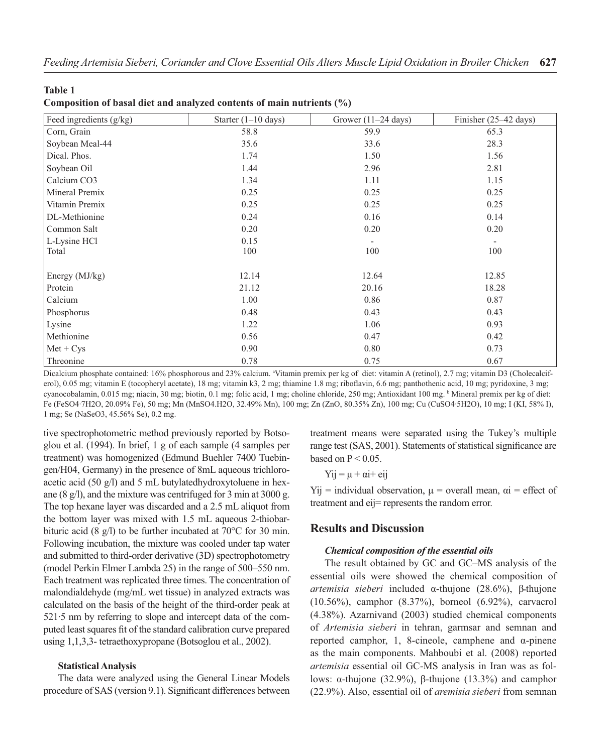| ۰.<br>w<br>۰. |  |
|---------------|--|
|---------------|--|

| Composition of basal diet and analyzed contents of main nutrients (%) |  |  |
|-----------------------------------------------------------------------|--|--|
|-----------------------------------------------------------------------|--|--|

| Feed ingredients (g/kg) | Starter $(1-10 \text{ days})$ | Grower $(11-24 \text{ days})$ | Finisher $(25-42 \text{ days})$ |
|-------------------------|-------------------------------|-------------------------------|---------------------------------|
| Corn, Grain             | 58.8                          | 59.9                          | 65.3                            |
| Soybean Meal-44         | 35.6                          | 33.6                          | 28.3                            |
| Dical. Phos.            | 1.74                          | 1.50                          | 1.56                            |
| Soybean Oil             | 1.44                          | 2.96                          | 2.81                            |
| Calcium CO3             | 1.34                          | 1.11                          | 1.15                            |
| Mineral Premix          | 0.25                          | 0.25                          | 0.25                            |
| Vitamin Premix          | 0.25                          | 0.25                          | 0.25                            |
| DL-Methionine           | 0.24                          | 0.16                          | 0.14                            |
| Common Salt             | 0.20                          | 0.20                          | 0.20                            |
| L-Lysine HCl            | 0.15                          | $\overline{\phantom{a}}$      | $\overline{\phantom{a}}$        |
| Total                   | 100                           | 100                           | 100                             |
|                         |                               |                               |                                 |
| Energy $(MJ/kg)$        | 12.14                         | 12.64                         | 12.85                           |
| Protein                 | 21.12                         | 20.16                         | 18.28                           |
| Calcium                 | 1.00                          | 0.86                          | 0.87                            |
| Phosphorus              | 0.48                          | 0.43                          | 0.43                            |
| Lysine                  | 1.22                          | 1.06                          | 0.93                            |
| Methionine              | 0.56                          | 0.47                          | 0.42                            |
| $Met + Cys$             | 0.90                          | 0.80                          | 0.73                            |
| Threonine               | 0.78                          | 0.75                          | 0.67                            |

Dicalcium phosphate contained: 16% phosphorous and 23% calcium. <sup>a</sup>Vitamin premix per kg of diet: vitamin A (retinol), 2.7 mg; vitamin D3 (Cholecalciferol), 0.05 mg; vitamin E (tocopheryl acetate), 18 mg; vitamin k3, 2 mg; thiamine 1.8 mg; riboflavin, 6.6 mg; panthothenic acid, 10 mg; pyridoxine, 3 mg; cyanocobalamin, 0.015 mg; niacin, 30 mg; biotin, 0.1 mg; folic acid, 1 mg; choline chloride, 250 mg; Antioxidant 100 mg. b Mineral premix per kg of diet: Fe (FeSO4·7H2O, 20.09% Fe), 50 mg; Mn (MnSO4.H2O, 32.49% Mn), 100 mg; Zn (ZnO, 80.35% Zn), 100 mg; Cu (CuSO4·5H2O), 10 mg; I (KI, 58% I), 1 mg; Se (NaSeO3, 45.56% Se), 0.2 mg.

tive spectrophotometric method previously reported by Botsoglou et al. (1994). In brief, 1 g of each sample (4 samples per treatment) was homogenized (Edmund Buehler 7400 Tuebingen/H04, Germany) in the presence of 8mL aqueous trichloroacetic acid (50 g/l) and 5 mL butylatedhydroxytoluene in hexane (8 g/l), and the mixture was centrifuged for 3 min at 3000 g. The top hexane layer was discarded and a 2.5 mL aliquot from the bottom layer was mixed with 1.5 mL aqueous 2-thiobarbituric acid (8 g/l) to be further incubated at 70°C for 30 min. Following incubation, the mixture was cooled under tap water and submitted to third-order derivative (3D) spectrophotometry (model Perkin Elmer Lambda 25) in the range of 500–550 nm. Each treatment was replicated three times. The concentration of malondialdehyde (mg/mL wet tissue) in analyzed extracts was calculated on the basis of the height of the third-order peak at 521·5 nm by referring to slope and intercept data of the computed least squares fit of the standard calibration curve prepared using 1,1,3,3- tetraethoxypropane (Botsoglou et al., 2002).

#### **Statistical Analysis**

The data were analyzed using the General Linear Models procedure of SAS (version 9.1). Significant differences between

treatment means were separated using the Tukey's multiple range test (SAS, 2001). Statements of statistical significance are based on  $P < 0.05$ .

 $Y$ ij =  $\mu$  +  $\alpha$ i+ eij

Yij = individual observation,  $\mu$  = overall mean,  $\alpha$ i = effect of treatment and eij= represents the random error.

## **Results and Discussion**

#### *Chemical composition of the essential oils*

The result obtained by GC and GC–MS analysis of the essential oils were showed the chemical composition of *artemisia sieberi* included α-thujone (28.6%), βـthujone (10.56%), camphor (8.37%), borneol (6.92%), carvacrol (4.38%). Azarnivand (2003) studied chemical components of *Artemisia sieberi* in tehran, garmsar and semnan and reported camphor, 1, 8-cineole, camphene and α-pinene as the main components. Mahboubi et al. (2008) reported *artemisia* essential oil GC-MS analysis in Iran was as follows: α-thujone (32.9%), β-thujone (13.3%) and camphor (22.9%). Also, essential oil of *aremisia sieberi* from semnan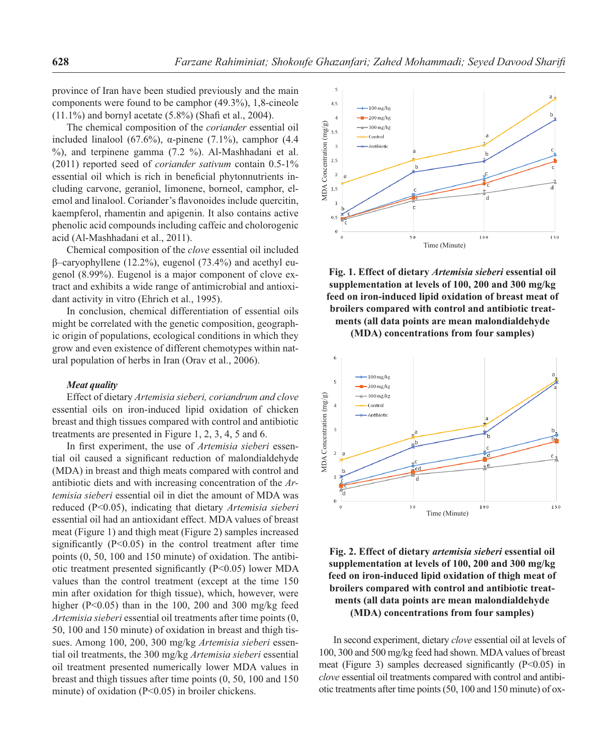province of Iran have been studied previously and the main components were found to be camphor (49.3%), 1,8-cineole (11.1%) and bornyl acetate (5.8%) (Shafi et al., 2004).

The chemical composition of the *coriander* essential oil included linalool (67.6%),  $\alpha$ -pinene (7.1%), camphor (4.4 %), and terpinene gamma (7.2 %). Al-Mashhadani et al. (2011) reported seed of *coriander sativum* contain 0.5-1% essential oil which is rich in beneficial phytonnutrients including carvone, geraniol, limonene, borneol, camphor, elemol and linalool. Coriander's flavonoides include quercitin, kaempferol, rhamentin and apigenin. It also contains active phenolic acid compounds including caffeic and cholorogenic acid (Al-Mashhadani et al., 2011).

Chemical composition of the *clove* essential oil included β–caryophyllene (12.2%), eugenol (73.4%) and acethyl eugenol (8.99%). Eugenol is a major component of clove extract and exhibits a wide range of antimicrobial and antioxidant activity in vitro (Ehrich et al., 1995).

In conclusion, chemical differentiation of essential oils might be correlated with the genetic composition, geographic origin of populations, ecological conditions in which they grow and even existence of different chemotypes within natural population of herbs in Iran (Orav et al., 2006).

#### *Meat quality*

Effect of dietary *Artemisia sieberi, coriandrum and clove* essential oils on iron-induced lipid oxidation of chicken breast and thigh tissues compared with control and antibiotic treatments are presented in Figure 1, 2, 3, 4, 5 and 6.

In first experiment, the use of *Artemisia sieberi* essential oil caused a significant reduction of malondialdehyde (MDA) in breast and thigh meats compared with control and antibiotic diets and with increasing concentration of the *Artemisia sieberi* essential oil in diet the amount of MDA was reduced (P<0.05), indicating that dietary *Artemisia sieberi* essential oil had an antioxidant effect. MDA values of breast meat (Figure 1) and thigh meat (Figure 2) samples increased significantly  $(P<0.05)$  in the control treatment after time points (0, 50, 100 and 150 minute) of oxidation. The antibiotic treatment presented significantly  $(P<0.05)$  lower MDA values than the control treatment (except at the time 150 min after oxidation for thigh tissue), which, however, were higher (P<0.05) than in the 100, 200 and 300 mg/kg feed *Artemisia sieberi* essential oil treatments after time points (0, 50, 100 and 150 minute) of oxidation in breast and thigh tissues. Among 100, 200, 300 mg/kg *Artemisia sieberi* essential oil treatments, the 300 mg/kg *Artemisia sieberi* essential oil treatment presented numerically lower MDA values in breast and thigh tissues after time points (0, 50, 100 and 150 minute) of oxidation (P<0.05) in broiler chickens.



**Fig. 1. Effect of dietary** *Artemisia sieberi* **essential oil supplementation at levels of 100, 200 and 300 mg/kg feed on iron-induced lipid oxidation of breast meat of broilers compared with control and antibiotic treatments (all data points are mean malondialdehyde** 

**(MDA) concentrations from four samples)**



**Fig. 2. Effect of dietary** *artemisia sieberi* **essential oil supplementation at levels of 100, 200 and 300 mg/kg feed on iron-induced lipid oxidation of thigh meat of broilers compared with control and antibiotic treatments (all data points are mean malondialdehyde (MDA) concentrations from four samples)**

In second experiment, dietary *clove* essential oil at levels of 100, 300 and 500 mg/kg feed had shown. MDA values of breast meat (Figure 3) samples decreased significantly  $(P<0.05)$  in *clove* essential oil treatments compared with control and antibiotic treatments after time points (50, 100 and 150 minute) of ox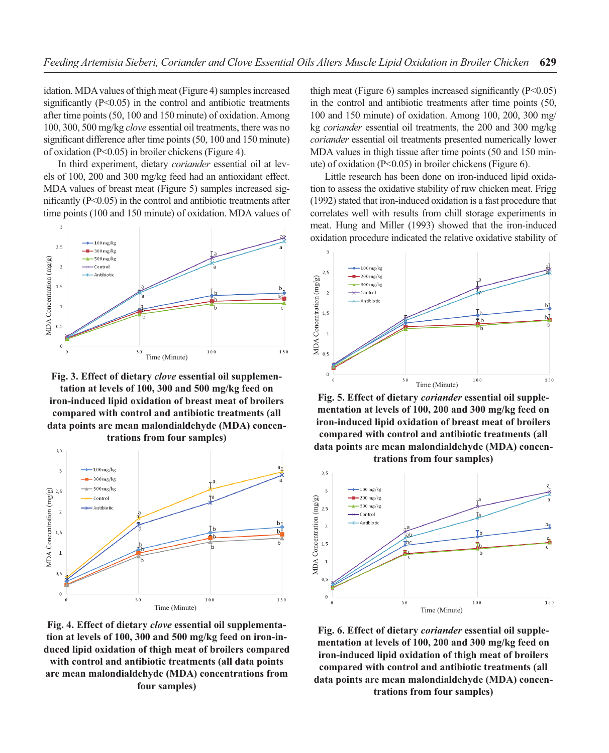idation. MDA values of thigh meat (Figure 4) samples increased significantly  $(P<0.05)$  in the control and antibiotic treatments after time points (50, 100 and 150 minute) of oxidation. Among 100, 300, 500 mg/kg *clove* essential oil treatments, there was no significant difference after time points (50, 100 and 150 minute) of oxidation (P<0.05) in broiler chickens (Figure 4).

In third experiment, dietary *coriander* essential oil at levels of 100, 200 and 300 mg/kg feed had an antioxidant effect. MDA values of breast meat (Figure 5) samples increased significantly  $(P<0.05)$  in the control and antibiotic treatments after time points (100 and 150 minute) of oxidation. MDA values of



**Fig. 3. Effect of dietary** *clove* **essential oil supplementation at levels of 100, 300 and 500 mg/kg feed on iron-induced lipid oxidation of breast meat of broilers compared with control and antibiotic treatments (all data points are mean malondialdehyde (MDA) concentrations from four samples)**



**Fig. 4. Effect of dietary** *clove* **essential oil supplementation at levels of 100, 300 and 500 mg/kg feed on iron-induced lipid oxidation of thigh meat of broilers compared with control and antibiotic treatments (all data points are mean malondialdehyde (MDA) concentrations from four samples)**

thigh meat (Figure 6) samples increased significantly  $(P<0.05)$ in the control and antibiotic treatments after time points (50, 100 and 150 minute) of oxidation. Among 100, 200, 300 mg/ kg *coriander* essential oil treatments, the 200 and 300 mg/kg *coriander* essential oil treatments presented numerically lower MDA values in thigh tissue after time points (50 and 150 minute) of oxidation (P<0.05) in broiler chickens (Figure 6).

Little research has been done on iron-induced lipid oxidation to assess the oxidative stability of raw chicken meat. Frigg (1992) stated that iron-induced oxidation is a fast procedure that correlates well with results from chill storage experiments in meat. Hung and Miller (1993) showed that the iron-induced oxidation procedure indicated the relative oxidative stability of



**Fig. 5. Effect of dietary** *coriander* **essential oil supplementation at levels of 100, 200 and 300 mg/kg feed on iron-induced lipid oxidation of breast meat of broilers compared with control and antibiotic treatments (all**  data points are mean malondialdehyde (MDA) concen**trations from four samples)**



**Fig. 6. Effect of dietary** *coriander* **essential oil supplementation at levels of 100, 200 and 300 mg/kg feed on iron-induced lipid oxidation of thigh meat of broilers compared with control and antibiotic treatments (all data points are mean malondialdehyde (MDA) concentrations from four samples)**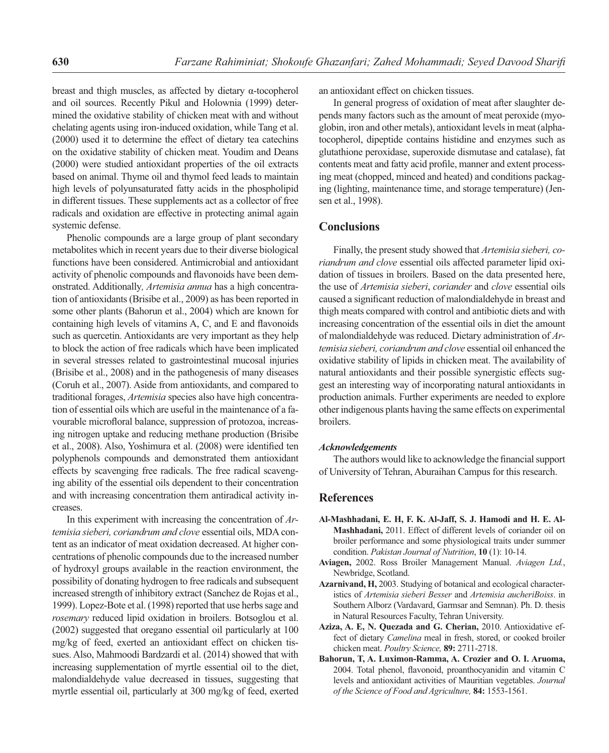breast and thigh muscles, as affected by dietary α-tocopherol and oil sources. Recently Pikul and Holownia (1999) determined the oxidative stability of chicken meat with and without chelating agents using iron-induced oxidation, while Tang et al. (2000) used it to determine the effect of dietary tea catechins on the oxidative stability of chicken meat. Youdim and Deans (2000) were studied antioxidant properties of the oil extracts based on animal. Thyme oil and thymol feed leads to maintain high levels of polyunsaturated fatty acids in the phospholipid in different tissues. These supplements act as a collector of free radicals and oxidation are effective in protecting animal again systemic defense.

Phenolic compounds are a large group of plant secondary metabolites which in recent years due to their diverse biological functions have been considered. Antimicrobial and antioxidant activity of phenolic compounds and flavonoids have been demonstrated. Additionally*, Artemisia annua* has a high concentration of antioxidants (Brisibe et al., 2009) as has been reported in some other plants (Bahorun et al., 2004) which are known for containing high levels of vitamins  $A$ ,  $C$ , and  $E$  and flavonoids such as quercetin. Antioxidants are very important as they help to block the action of free radicals which have been implicated in several stresses related to gastrointestinal mucosal injuries (Brisibe et al., 2008) and in the pathogenesis of many diseases (Coruh et al., 2007). Aside from antioxidants, and compared to traditional forages, *Artemisia* species also have high concentration of essential oils which are useful in the maintenance of a favourable microfloral balance, suppression of protozoa, increasing nitrogen uptake and reducing methane production (Brisibe et al., 2008). Also, Yoshimura et al. (2008) were identified ten polyphenols compounds and demonstrated them antioxidant effects by scavenging free radicals. The free radical scavenging ability of the essential oils dependent to their concentration and with increasing concentration them antiradical activity increases.

In this experiment with increasing the concentration of *Artemisia sieberi, coriandrum and clove* essential oils, MDA content as an indicator of meat oxidation decreased. At higher concentrations of phenolic compounds due to the increased number of hydroxyl groups available in the reaction environment, the possibility of donating hydrogen to free radicals and subsequent increased strength of inhibitory extract (Sanchez de Rojas et al., 1999). Lopez-Bote et al. (1998) reported that use herbs sage and *rosemary* reduced lipid oxidation in broilers. Botsoglou et al. (2002) suggested that oregano essential oil particularly at 100 mg/kg of feed, exerted an antioxidant effect on chicken tissues. Also, Mahmoodi Bardzardi et al. (2014) showed that with increasing supplementation of myrtle essential oil to the diet, malondialdehyde value decreased in tissues, suggesting that myrtle essential oil, particularly at 300 mg/kg of feed, exerted an antioxidant effect on chicken tissues.

In general progress of oxidation of meat after slaughter depends many factors such as the amount of meat peroxide (myoglobin, iron and other metals), antioxidant levels in meat (alphatocopherol, dipeptide contains histidine and enzymes such as glutathione peroxidase, superoxide dismutase and catalase), fat contents meat and fatty acid profile, manner and extent processing meat (chopped, minced and heated) and conditions packaging (lighting, maintenance time, and storage temperature) (Jensen et al., 1998).

## **Conclusions**

Finally, the present study showed that *Artemisia sieberi, coriandrum and clove* essential oils affected parameter lipid oxidation of tissues in broilers. Based on the data presented here, the use of *Artemisia sieberi*, *coriander* and *clove* essential oils caused a significant reduction of malondialdehyde in breast and thigh meats compared with control and antibiotic diets and with increasing concentration of the essential oils in diet the amount of malondialdehyde was reduced. Dietary administration of *Artemisia sieberi, coriandrum and clove* essential oil enhanced the oxidative stability of lipids in chicken meat. The availability of natural antioxidants and their possible synergistic effects suggest an interesting way of incorporating natural antioxidants in production animals. Further experiments are needed to explore other indigenous plants having the same effects on experimental broilers.

#### *Acknowledgements*

The authors would like to acknowledge the financial support of University of Tehran, Aburaihan Campus for this research.

## **References**

- **Al-Mashhadani, E. H, F. K. Al-Jaff, S. J. Hamodi and H. E. Al-Mashhadani,** 2011. Effect of different levels of coriander oil on broiler performance and some physiological traits under summer condition. *Pakistan Journal of Nutrition*, **10** (1): 10-14.
- **Aviagen,** 2002. Ross Broiler Management Manual. *Aviagen Ltd.*, Newbridge, Scotland.
- **Azarnivand, H,** 2003. Studying of botanical and ecological characteristics of *Artemisia sieberi Besser* and *Artemisia aucheriBoiss*. in Southern Alborz (Vardavard, Garmsar and Semnan). Ph. D. thesis in Natural Resources Faculty, Tehran University.
- **Aziza, A. E, N. Quezada and G. Cherian,** 2010. Antioxidative effect of dietary *Camelina* meal in fresh, stored, or cooked broiler chicken meat. *Poultry Science,* **89:** 2711-2718.
- **Bahorun, T, A. Luximon-Ramma, A. Crozier and O. I. Aruoma,** 2004. Total phenol, flavonoid, proanthocyanidin and vitamin C levels and antioxidant activities of Mauritian vegetables. *Journal of the Science of Food and Agriculture,* **84:** 1553-1561.